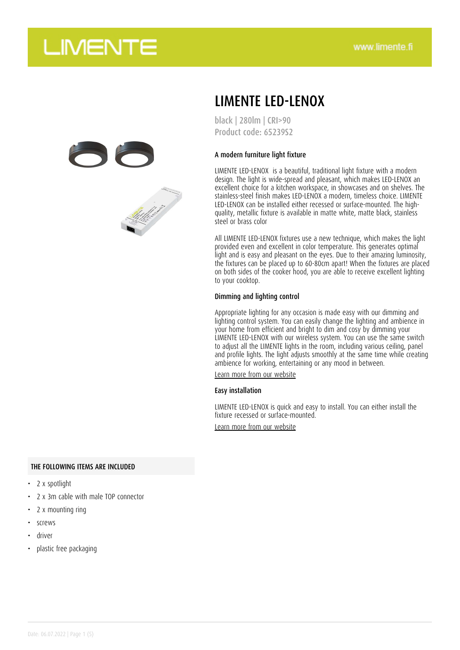

### LIMENTE LED-LENOX

black | 280lm | CRI>90 Product code: 65239S2

#### A modern furniture light fixture

LIMENTE LED-LENOX is a beautiful, traditional light fixture with a modern design. The light is wide-spread and pleasant, which makes LED-LENOX an excellent choice for a kitchen workspace, in showcases and on shelves. The stainless-steel finish makes LED-LENOX a modern, timeless choice. LIMENTE LED-LENOX can be installed either recessed or surface-mounted. The highquality, metallic fixture is available in matte white, matte black, stainless steel or brass color

All LIMENTE LED-LENOX fixtures use a new technique, which makes the light provided even and excellent in color temperature. This generates optimal light and is easy and pleasant on the eyes. Due to their amazing luminosity, the fixtures can be placed up to 60-80cm apart! When the fixtures are placed on both sides of the cooker hood, you are able to receive excellent lighting to your cooktop.

#### Dimming and lighting control

Appropriate lighting for any occasion is made easy with our dimming and lighting control system. You can easily change the lighting and ambience in your home from efficient and bright to dim and cosy by dimming your LIMENTE LED-LENOX with our wireless system. You can use the same switch to adjust all the LIMENTE lights in the room, including various ceiling, panel and profile lights. The light adjusts smoothly at the same time while creating ambience for working, entertaining or any mood in between.

[Learn more from our website](https://www.limente.fi/tuotteet/65239S2)

#### Easy installation

LIMENTE LED-LENOX is quick and easy to install. You can either install the fixture recessed or surface-mounted.

[Learn more from our website](https://www.limente.fi/tuotteet/65239S2)

#### THE FOLLOWING ITEMS ARE INCLUDED

- 2 x spotlight
- 2 x 3m cable with male TOP connector
- 2 x mounting ring
- screws
- driver
- plastic free packaging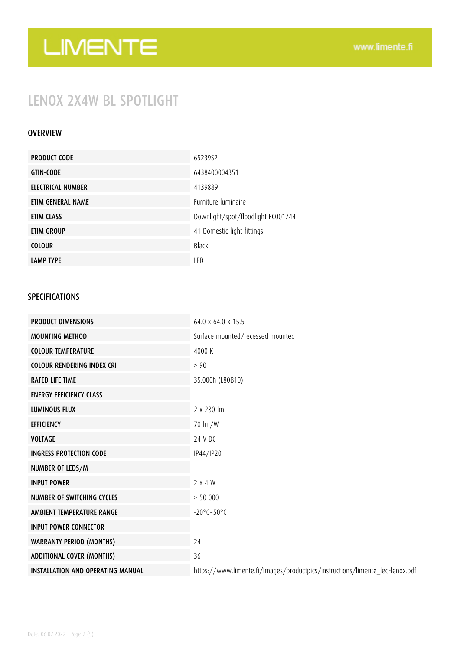## LENOX 2X4W BL SPOTLIGHT

#### OVERVIEW

| <b>PRODUCT CODE</b> | 6523952                            |
|---------------------|------------------------------------|
| <b>GTIN-CODE</b>    | 6438400004351                      |
| ELECTRICAL NUMBER   | 4139889                            |
| ETIM GENERAL NAME   | <b>Furniture luminaire</b>         |
| ETIM CLASS          | Downlight/spot/floodlight EC001744 |
| ETIM GROUP          | 41 Domestic light fittings         |
| <b>COLOUR</b>       | Black                              |
| <b>LAMP TYPE</b>    | LED                                |

### SPECIFICATIONS

| <b>PRODUCT DIMENSIONS</b>                | $64.0 \times 64.0 \times 15.5$                                               |
|------------------------------------------|------------------------------------------------------------------------------|
| <b>MOUNTING METHOD</b>                   | Surface mounted/recessed mounted                                             |
| <b>COLOUR TEMPERATURE</b>                | 4000 K                                                                       |
| <b>COLOUR RENDERING INDEX CRI</b>        | > 90                                                                         |
| <b>RATED LIFE TIME</b>                   | 35.000h (L80B10)                                                             |
| <b>ENERGY EFFICIENCY CLASS</b>           |                                                                              |
| <b>LUMINOUS FLUX</b>                     | $2 \times 280$ m                                                             |
| <b>EFFICIENCY</b>                        | $70 \, \text{Im}/\text{W}$                                                   |
| <b>VOLTAGE</b>                           | 24 V DC                                                                      |
| <b>INGRESS PROTECTION CODE</b>           | IP44/IP20                                                                    |
| NUMBER OF LEDS/M                         |                                                                              |
| <b>INPUT POWER</b>                       | 2 x 4 W                                                                      |
| <b>NUMBER OF SWITCHING CYCLES</b>        | > 50000                                                                      |
| AMBIENT TEMPERATURE RANGE                | $-20^{\circ}$ C $-50^{\circ}$ C                                              |
| <b>INPUT POWER CONNECTOR</b>             |                                                                              |
| <b>WARRANTY PERIOD (MONTHS)</b>          | 24                                                                           |
| <b>ADDITIONAL COVER (MONTHS)</b>         | 36                                                                           |
| <b>INSTALLATION AND OPERATING MANUAL</b> | https://www.limente.fi/Images/productpics/instructions/limente_led-lenox.pdf |
|                                          |                                                                              |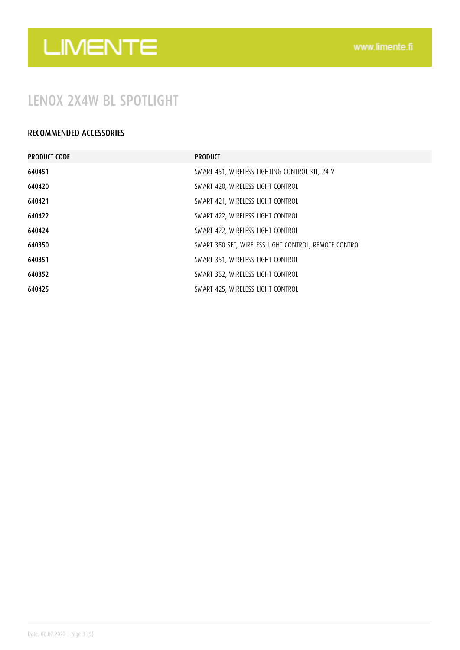### LENOX 2X4W BL SPOTLIGHT

### RECOMMENDED ACCESSORIES

| <b>PRODUCT CODE</b> | <b>PRODUCT</b>                                        |
|---------------------|-------------------------------------------------------|
| 640451              | SMART 451, WIRELESS LIGHTING CONTROL KIT, 24 V        |
| 640420              | SMART 420, WIRELESS LIGHT CONTROL                     |
| 640421              | SMART 421, WIRELESS LIGHT CONTROL                     |
| 640422              | SMART 422, WIRELESS LIGHT CONTROL                     |
| 640424              | SMART 422, WIRELESS LIGHT CONTROL                     |
| 640350              | SMART 350 SET, WIRELESS LIGHT CONTROL, REMOTE CONTROL |
| 640351              | SMART 351, WIRELESS LIGHT CONTROL                     |
| 640352              | SMART 352, WIRELESS LIGHT CONTROL                     |
| 640425              | SMART 425, WIRELESS LIGHT CONTROL                     |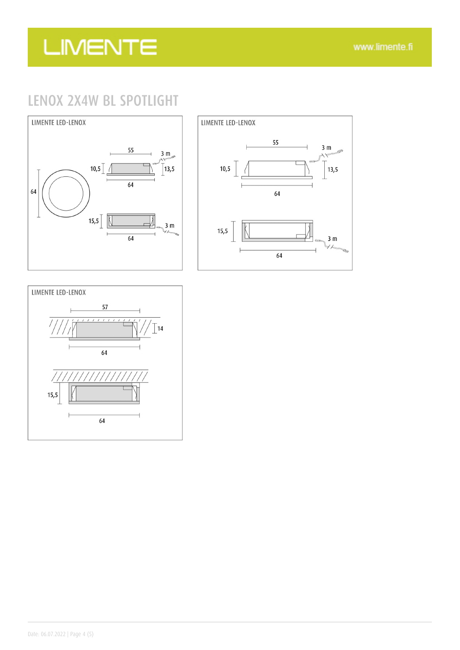### LENOX 2X4W BL SPOTLIGHT